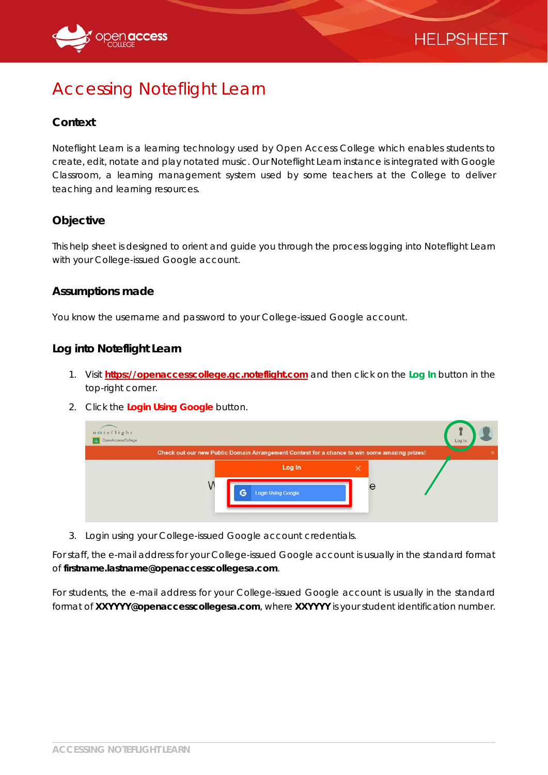



# Accessing Noteflight Learn

#### **Context**

Noteflight Learn is a learning technology used by Open Access College which enables students to create, edit, notate and play notated music. Our Noteflight Learn instance is integrated with Google Classroom, a learning management system used by some teachers at the College to deliver teaching and learning resources.

# **Objective**

This help sheet is designed to orient and guide you through the process logging into Noteflight Learn with your College-issued Google account.

#### **Assumptions made**

You know the username and password to your College-issued Google account.

#### **Log into Noteflight Learn**

- 1. Visit **https://openaccesscollege.gc.noteflight.com** and then click on the **Log In** button in the top-right corner.
- 2. Click the **Login Using Google** button.

| noteflight<br>OpenAccessCollege<br>Ш |   |                                                                                              |   |   | Log In |
|--------------------------------------|---|----------------------------------------------------------------------------------------------|---|---|--------|
|                                      |   | Check out our new Public Domain Arrangement Contest for a chance to win some amazing prizes! |   |   | ×      |
|                                      | G | Log In<br><b>Login Using Google</b>                                                          | × | e |        |

3. Login using your College-issued Google account credentials.

For staff, the e-mail address for your College-issued Google account is usually in the standard format of **firstname.lastname@openaccesscollegesa.com**.

For students, the e-mail address for your College-issued Google account is usually in the standard format of **XXYYYY@openaccesscollegesa.com**, where **XXYYYY** is your student identification number.